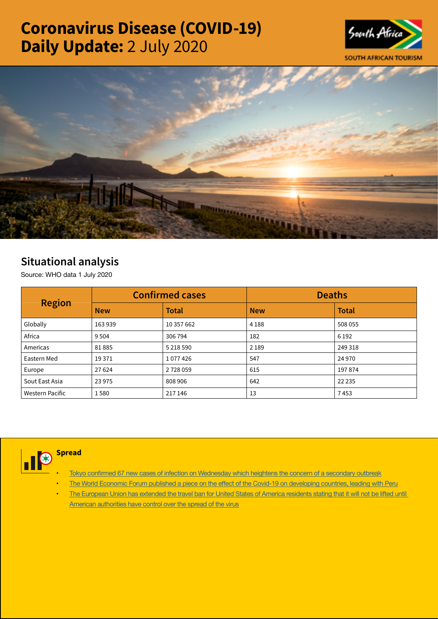# Coronavirus Disease (COVID-19) Daily Update: 2 July 2020





## Situational analysis

Source: WHO data 1 July 2020

| <b>Region</b>   |            | <b>Confirmed cases</b> | <b>Deaths</b> |              |  |
|-----------------|------------|------------------------|---------------|--------------|--|
|                 | <b>New</b> | <b>Total</b>           | <b>New</b>    | <b>Total</b> |  |
| Globally        | 163939     | 10 357 662             | 4 1 8 8       | 508 055      |  |
| Africa          | 9 5 0 4    | 306 794                | 182           | 6 1 9 2      |  |
| Americas        | 81885      | 5 218 590              | 2 1 8 9       | 249 318      |  |
| Eastern Med     | 19371      | 1077426                | 547           | 24 9 70      |  |
| Europe          | 27 6 24    | 2728059                | 615           | 197874       |  |
| Sout East Asia  | 23 9 75    | 808 906                | 642           | 22 2 35      |  |
| Western Pacific | 1580       | 217 146                | 13            | 7453         |  |



### **Spread**

- Tokyo confirmed 67 new cases of infection on [Wednesday](https://t.co/unnauxIUBl?amp=1) which heightens the concern of a secondary outbreak
- The World Economic Forum published a piece on the effect of the Covid-19 on [developing](https://t.co/SQs8dtKENW?amp=1) countries, leading with Peru
- The [European](https://t.co/ENxJ0YhMxI?amp=1) Union has extended the travel ban for United States of America residents stating that it will not be lifted until American [authorities](https://t.co/ENxJ0YhMxI?amp=1) have control over the spread of the virus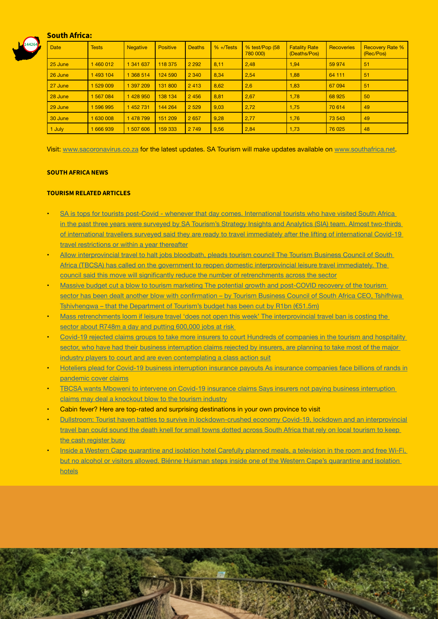#### South Africa:



| <b>Date</b> | <b>Tests</b> | <b>Negative</b> | <b>Positive</b> | Deaths  | $% + \sqrt{6}$ | % test/Pop (58<br>780 000) | <b>Fatality Rate</b><br>(Deaths/Pos) | <b>Recoveries</b> | <b>Recovery Rate %</b><br>(Rec/Pos) |
|-------------|--------------|-----------------|-----------------|---------|----------------|----------------------------|--------------------------------------|-------------------|-------------------------------------|
| 25 June     | 1460012      | 1 341 637       | 118 375         | 2 2 9 2 | 8,11           | 2,48                       | 1,94                                 | 59 974            | 51                                  |
| 26 June     | 1 493 104    | 1 368 514       | 124 590         | 2 3 4 0 | 8,34           | 2,54                       | 1,88                                 | 64 111            | 51                                  |
| 27 June     | 1 529 009    | 1 397 209       | 131 800         | 2413    | 8,62           | 2,6                        | 1,83                                 | 67 094            | 51                                  |
| 28 June     | 1 567 084    | 428 950         | 138 134         | 2 4 5 6 | 8,81           | 2,67                       | 1,78                                 | 68 9 25           | 50                                  |
| 29 June     | 1 596 995    | 1 452 731       | 144 264         | 2 5 2 9 | 9,03           | 2,72                       | 1,75                                 | 70 614            | 49                                  |
| 30 June     | 1 630 008    | 478 799         | 151 209         | 2 6 5 7 | 9,28           | 2,77                       | 1,76                                 | 73 543            | 49                                  |
| 1 July      | 666939       | 507 606         | 159 333         | 2 7 4 9 | 9,56           | 2,84                       | 1,73                                 | 76 025            | 48                                  |

Visit: [www.sacoronavirus.co.za](http://www.sacoronavirus.co.za) for the latest updates. SA Tourism will make updates available on [www.southafrica.net](http://www.southafrica.net).

#### SOUTH AFRICA NEWS

#### TOURISM RELATED ARTICLES

- SA is tops for tourists post-Covid whenever that day comes. [International](https://www.news24.com/fin24/companies/travelandleisure/sa-is-tops-for-tourists-post-covid-whenever-that-day-comes-20200701) tourists who have visited South Africa in the past three years were surveyed by SA Tourism's Strategy Insights and Analytics (SIA) team. Almost [two-thirds](https://www.news24.com/fin24/companies/travelandleisure/sa-is-tops-for-tourists-post-covid-whenever-that-day-comes-20200701) of [international](https://www.news24.com/fin24/companies/travelandleisure/sa-is-tops-for-tourists-post-covid-whenever-that-day-comes-20200701) travellers surveyed said they are ready to travel immediately after the lifting of international Covid-19 travel [restrictions](https://www.news24.com/fin24/companies/travelandleisure/sa-is-tops-for-tourists-post-covid-whenever-that-day-comes-20200701) or within a year thereafter
- Allow [interprovincial](https://www.timeslive.co.za/news/south-africa/2020-07-02-allow-interprovincial-travel-to-halt-jobs-bloodbath-pleads-tourism-council/) travel to halt jobs bloodbath, pleads tourism council The Tourism Business Council of South Africa (TBCSA) has called on the government to reopen domestic [interprovincial](https://www.timeslive.co.za/news/south-africa/2020-07-02-allow-interprovincial-travel-to-halt-jobs-bloodbath-pleads-tourism-council/) leisure travel immediately. The council said this move will significantly reduce the number of [retrenchments](https://www.timeslive.co.za/news/south-africa/2020-07-02-allow-interprovincial-travel-to-halt-jobs-bloodbath-pleads-tourism-council/) across the sector
- Massive budget cut a blow to tourism marketing The potential growth and [post-COVID](http://www.tourismupdate.co.za/article/199735/Massive-budget-cut-a-blow-to-tourism-marketing) recovery of the tourism sector has been dealt another blow with [confirmation](http://www.tourismupdate.co.za/article/199735/Massive-budget-cut-a-blow-to-tourism-marketing) – by Tourism Business Council of South Africa CEO, Tshifhiwa [Tshivhengwa](http://www.tourismupdate.co.za/article/199735/Massive-budget-cut-a-blow-to-tourism-marketing) – that the Department of Tourism's budget has been cut by R1bn (€51.5m)
- Mass [retrenchments](https://select.timeslive.co.za/news/2020-07-02-mass-retrenchments-loom-if-leisure-travel-does-not-open-this-week/) loom if leisure travel 'does not open this week' The interprovincial travel ban is costing the sector about R748m a day and putting [600,000](https://select.timeslive.co.za/news/2020-07-02-mass-retrenchments-loom-if-leisure-travel-does-not-open-this-week/) jobs at risk
- Covid-19 rejected claims groups to take more insurers to court Hundreds of [companies](https://www.news24.com/fin24/companies/financial-services/covid-19-rejected-claims-groups-to-take-more-insurers-to-court-20200701) in the tourism and hospitality sector, who have had their business [interruption](https://www.news24.com/fin24/companies/financial-services/covid-19-rejected-claims-groups-to-take-more-insurers-to-court-20200701) claims rejected by insurers, are planning to take most of the major industry players to court and are even [contemplating](https://www.news24.com/fin24/companies/financial-services/covid-19-rejected-claims-groups-to-take-more-insurers-to-court-20200701) a class action suit
- Hoteliers plead for Covid-19 business [interruption](https://www.moneyweb.co.za/news/companies-and-deals/hoteliers-plead-for-covid-19-business-interruption-insurance-payouts/) insurance payouts As insurance companies face billions of rands in [pandemic](https://www.moneyweb.co.za/news/companies-and-deals/hoteliers-plead-for-covid-19-business-interruption-insurance-payouts/) cover claims
- TBCSA wants Mboweni to intervene on Covid-19 insurance claims Says insurers not paying business [interruption](https://www.moneyweb.co.za/news/south-africa/tbcsa-wants-mboweni-to-intervene-on-covid-19-insurance-claims/) claims may deal a [knockout](https://www.moneyweb.co.za/news/south-africa/tbcsa-wants-mboweni-to-intervene-on-covid-19-insurance-claims/) blow to the tourism industry
- Cabin fever? Here are top-rated and surprising [destinations](C:\Users\dale\Downloads\Cabin fever? Here are top-rated and surprising destinations in your own province to visit) in your own province to visit
- Dullstroom: Tourist haven battles to survive in [lockdown-crushed](https://www.dailymaverick.co.za/article/2020-07-02-dullstroom-tourist-haven-battles-to-survive-in-lockdown-crushed-economy/#gsc.tab=0) economy Covid-19, lockdown and an interprovincial travel ban could sound the death knell for small towns dotted across South Africa that rely on local [tourism](https://www.dailymaverick.co.za/article/2020-07-02-dullstroom-tourist-haven-battles-to-survive-in-lockdown-crushed-economy/#gsc.tab=0) to keep the cash [register](https://www.dailymaverick.co.za/article/2020-07-02-dullstroom-tourist-haven-battles-to-survive-in-lockdown-crushed-economy/#gsc.tab=0) busy
- Inside a Western Cape [quarantine](https://www.dailymaverick.co.za/article/2020-07-02-inside-a-western-cape-quarantine-and-isolation-hotel/#gsc.tab=0) and isolation hotel Carefully planned meals, a television in the room and free Wi-Fi, but no alcohol or visitors allowed. Biénne Huisman steps inside one of the Western Cape's [quarantine](https://www.dailymaverick.co.za/article/2020-07-02-inside-a-western-cape-quarantine-and-isolation-hotel/#gsc.tab=0) and isolation [hotels](https://www.dailymaverick.co.za/article/2020-07-02-inside-a-western-cape-quarantine-and-isolation-hotel/#gsc.tab=0)

PULKEL